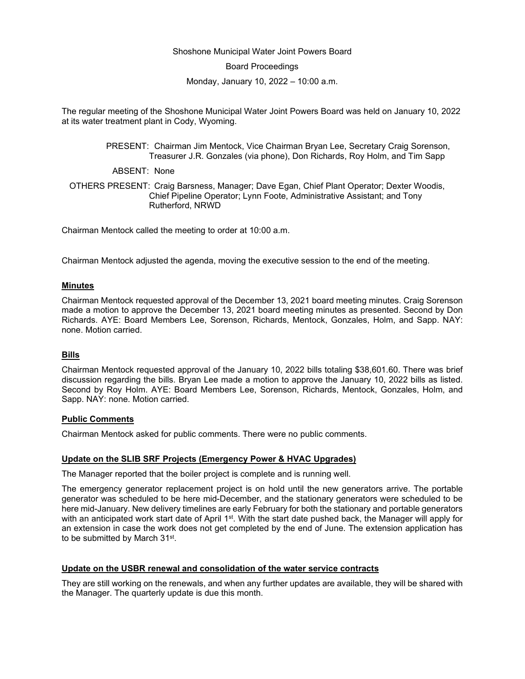## Shoshone Municipal Water Joint Powers Board

Board Proceedings

Monday, January 10, 2022 – 10:00 a.m.

The regular meeting of the Shoshone Municipal Water Joint Powers Board was held on January 10, 2022 at its water treatment plant in Cody, Wyoming.

> PRESENT: Chairman Jim Mentock, Vice Chairman Bryan Lee, Secretary Craig Sorenson, Treasurer J.R. Gonzales (via phone), Don Richards, Roy Holm, and Tim Sapp

ABSENT: None

OTHERS PRESENT: Craig Barsness, Manager; Dave Egan, Chief Plant Operator; Dexter Woodis, Chief Pipeline Operator; Lynn Foote, Administrative Assistant; and Tony Rutherford, NRWD

Chairman Mentock called the meeting to order at 10:00 a.m.

Chairman Mentock adjusted the agenda, moving the executive session to the end of the meeting.

### **Minutes**

Chairman Mentock requested approval of the December 13, 2021 board meeting minutes. Craig Sorenson made a motion to approve the December 13, 2021 board meeting minutes as presented. Second by Don Richards. AYE: Board Members Lee, Sorenson, Richards, Mentock, Gonzales, Holm, and Sapp. NAY: none. Motion carried.

#### **Bills**

Chairman Mentock requested approval of the January 10, 2022 bills totaling \$38,601.60. There was brief discussion regarding the bills. Bryan Lee made a motion to approve the January 10, 2022 bills as listed. Second by Roy Holm. AYE: Board Members Lee, Sorenson, Richards, Mentock, Gonzales, Holm, and Sapp. NAY: none. Motion carried.

### **Public Comments**

Chairman Mentock asked for public comments. There were no public comments.

#### **Update on the SLIB SRF Projects (Emergency Power & HVAC Upgrades)**

The Manager reported that the boiler project is complete and is running well.

The emergency generator replacement project is on hold until the new generators arrive. The portable generator was scheduled to be here mid-December, and the stationary generators were scheduled to be here mid-January. New delivery timelines are early February for both the stationary and portable generators with an anticipated work start date of April 1<sup>st</sup>. With the start date pushed back, the Manager will apply for an extension in case the work does not get completed by the end of June. The extension application has to be submitted by March 31st.

## **Update on the USBR renewal and consolidation of the water service contracts**

They are still working on the renewals, and when any further updates are available, they will be shared with the Manager. The quarterly update is due this month.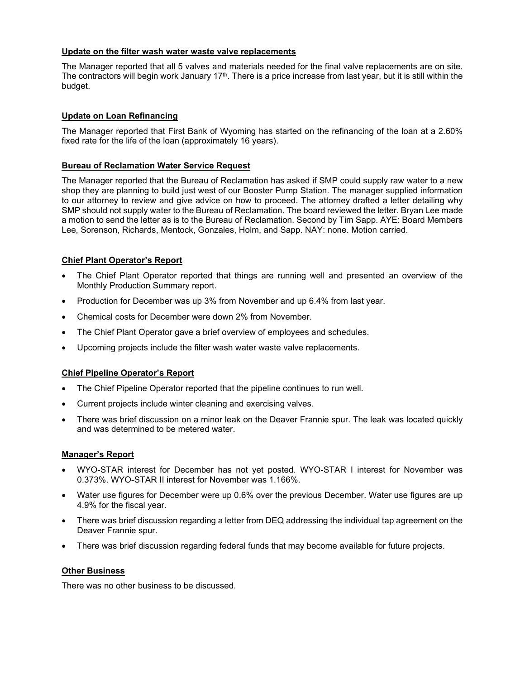## **Update on the filter wash water waste valve replacements**

The Manager reported that all 5 valves and materials needed for the final valve replacements are on site. The contractors will begin work January 17<sup>th</sup>. There is a price increase from last year, but it is still within the budget.

# **Update on Loan Refinancing**

The Manager reported that First Bank of Wyoming has started on the refinancing of the loan at a 2.60% fixed rate for the life of the loan (approximately 16 years).

## **Bureau of Reclamation Water Service Request**

The Manager reported that the Bureau of Reclamation has asked if SMP could supply raw water to a new shop they are planning to build just west of our Booster Pump Station. The manager supplied information to our attorney to review and give advice on how to proceed. The attorney drafted a letter detailing why SMP should not supply water to the Bureau of Reclamation. The board reviewed the letter. Bryan Lee made a motion to send the letter as is to the Bureau of Reclamation. Second by Tim Sapp. AYE: Board Members Lee, Sorenson, Richards, Mentock, Gonzales, Holm, and Sapp. NAY: none. Motion carried.

# **Chief Plant Operator's Report**

- The Chief Plant Operator reported that things are running well and presented an overview of the Monthly Production Summary report.
- Production for December was up 3% from November and up 6.4% from last year.
- Chemical costs for December were down 2% from November.
- The Chief Plant Operator gave a brief overview of employees and schedules.
- Upcoming projects include the filter wash water waste valve replacements.

## **Chief Pipeline Operator's Report**

- The Chief Pipeline Operator reported that the pipeline continues to run well.
- Current projects include winter cleaning and exercising valves.
- There was brief discussion on a minor leak on the Deaver Frannie spur. The leak was located quickly and was determined to be metered water.

## **Manager's Report**

- WYO-STAR interest for December has not yet posted. WYO-STAR I interest for November was 0.373%. WYO-STAR II interest for November was 1.166%.
- Water use figures for December were up 0.6% over the previous December. Water use figures are up 4.9% for the fiscal year.
- There was brief discussion regarding a letter from DEQ addressing the individual tap agreement on the Deaver Frannie spur.
- There was brief discussion regarding federal funds that may become available for future projects.

# **Other Business**

There was no other business to be discussed.